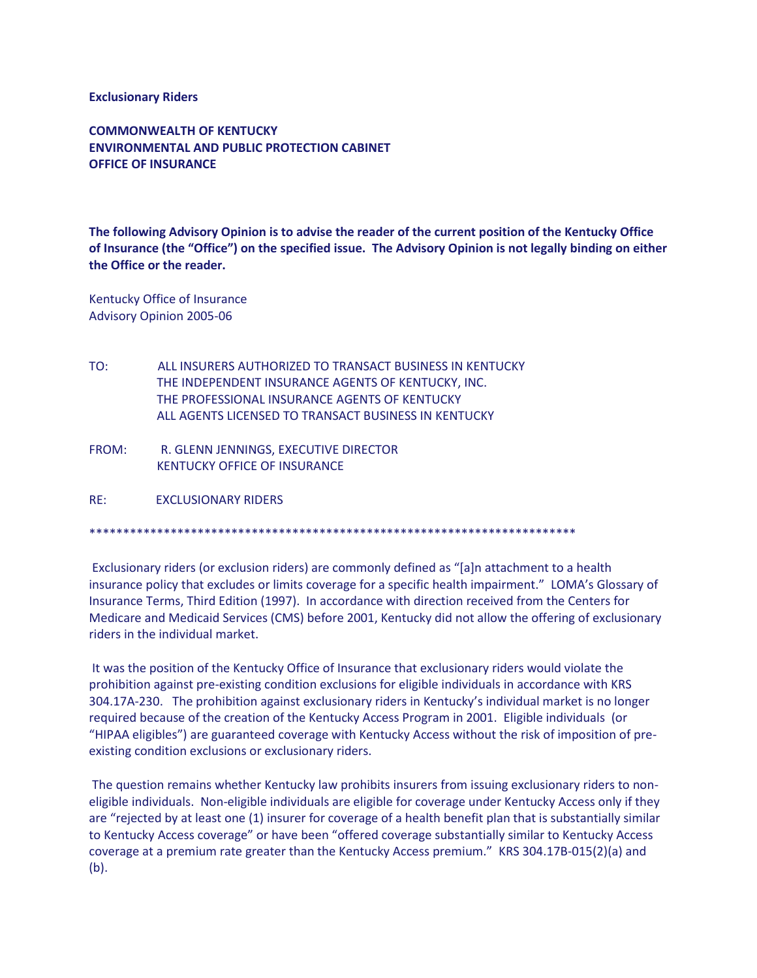**Exclusionary Riders**

**COMMONWEALTH OF KENTUCKY ENVIRONMENTAL AND PUBLIC PROTECTION CABINET OFFICE OF INSURANCE**

**The following Advisory Opinion is to advise the reader of the current position of the Kentucky Office of Insurance (the "Office") on the specified issue. The Advisory Opinion is not legally binding on either the Office or the reader.**

Kentucky Office of Insurance Advisory Opinion 2005-06

- TO: ALL INSURERS AUTHORIZED TO TRANSACT BUSINESS IN KENTUCKY THE INDEPENDENT INSURANCE AGENTS OF KENTUCKY, INC. THE PROFESSIONAL INSURANCE AGENTS OF KENTUCKY ALL AGENTS LICENSED TO TRANSACT BUSINESS IN KENTUCKY
- FROM: R. GLENN JENNINGS, EXECUTIVE DIRECTOR KENTUCKY OFFICE OF INSURANCE

RE: EXCLUSIONARY RIDERS

\*\*\*\*\*\*\*\*\*\*\*\*\*\*\*\*\*\*\*\*\*\*\*\*\*\*\*\*\*\*\*\*\*\*\*\*\*\*\*\*\*\*\*\*\*\*\*\*\*\*\*\*\*\*\*\*\*\*\*\*\*\*\*\*\*\*\*\*\*\*\*\*

Exclusionary riders (or exclusion riders) are commonly defined as "[a]n attachment to a health insurance policy that excludes or limits coverage for a specific health impairment." LOMA's Glossary of Insurance Terms, Third Edition (1997). In accordance with direction received from the Centers for Medicare and Medicaid Services (CMS) before 2001, Kentucky did not allow the offering of exclusionary riders in the individual market.

It was the position of the Kentucky Office of Insurance that exclusionary riders would violate the prohibition against pre-existing condition exclusions for eligible individuals in accordance with KRS 304.17A-230. The prohibition against exclusionary riders in Kentucky's individual market is no longer required because of the creation of the Kentucky Access Program in 2001. Eligible individuals (or "HIPAA eligibles") are guaranteed coverage with Kentucky Access without the risk of imposition of preexisting condition exclusions or exclusionary riders.

The question remains whether Kentucky law prohibits insurers from issuing exclusionary riders to noneligible individuals. Non-eligible individuals are eligible for coverage under Kentucky Access only if they are "rejected by at least one (1) insurer for coverage of a health benefit plan that is substantially similar to Kentucky Access coverage" or have been "offered coverage substantially similar to Kentucky Access coverage at a premium rate greater than the Kentucky Access premium." KRS 304.17B-015(2)(a) and (b).